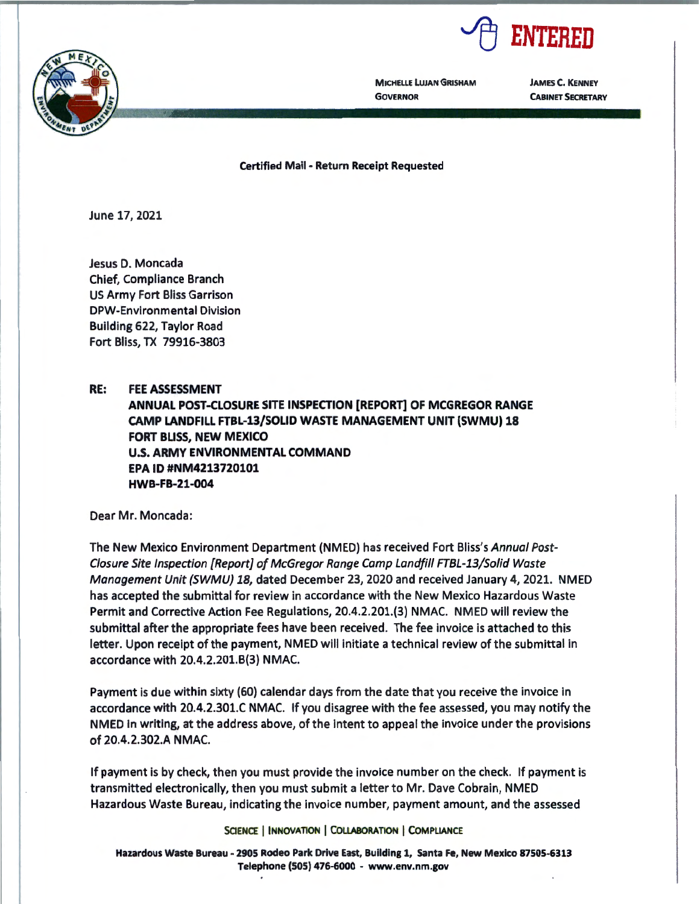



**MICHELLE LUJAN GRISHAM GOVERNOR** 

**JAMES C. KENNEY CABINET SECRETARY** 

**Certified Mail** - **Return Receipt Requested** 

June 17, 2021

Jesus D. Moncada Chief, Compliance Branch US Army Fort Bliss Garrison DPW-Environmental Division Building 622, Taylor Road Fort Bliss, TX 79916-3803

**RE: FEE ASSESSMENT** 

**ANNUAL POST-CLOSURE SITE INSPECTION [REPORT] OF MCGREGOR RANGE CAMP LANDFILL FTBL-13/SOLID WASTE MANAGEMENT UNIT (SWMU) 18 FORT BUSS, NEW MEXICO U.S. ARMY ENVIRONMENTAL COMMAND EPA ID #NM4213720101 HWB-FB-21-004** 

Dear Mr. Moncada:

The New Mexico Environment Department (NMED) has received Fort Bliss's Annual Post-Closure Site Inspection [Report] of McGregor Range Camp Landfill FTBL-13/Solid Waste Management Unit {SWMU) 18, dated December 23, 2020 and received January 4, 2021. NMED has accepted the submittal for review in accordance with the New Mexico Hazardous Waste Permit and Corrective Action Fee Regulations, 20.4.2.201.(3) NMAC. NMED will review the submittal after the appropriate fees have been received. The fee invoice is attached to this letter. Upon receipt of the payment, NMED will initiate a technical review of the submittal in accordance with 20.4.2.201.8(3) NMAC.

Payment is due within sixty (60) calendar days from the date that you receive the invoice in accordance with 20.4.2.301.C NMAC. If you disagree with the fee assessed, you may notify the NMED in writing, at the address above, of the intent to appeal the invoice under the provisions of 20.4.2.302.A NMAC.

If payment is by check, then you must provide the invoice number on the check. If payment is transmitted electronically, then you must submit a letter to Mr. Dave Cobrain, NMED Hazardous Waste Bureau, indicating the invoice number, payment amount, and the assessed

SCIENCE | INNOVATION | COLLABORATION | COMPLIANCE

**Hazardous Waste Bureau** - **2905 Rodeo Park Drive East, Building** 1, **Santa Fe, New Mexico 87505-6313**  Telephone **(SOS) 476-6000** - **www.env.nm.gov**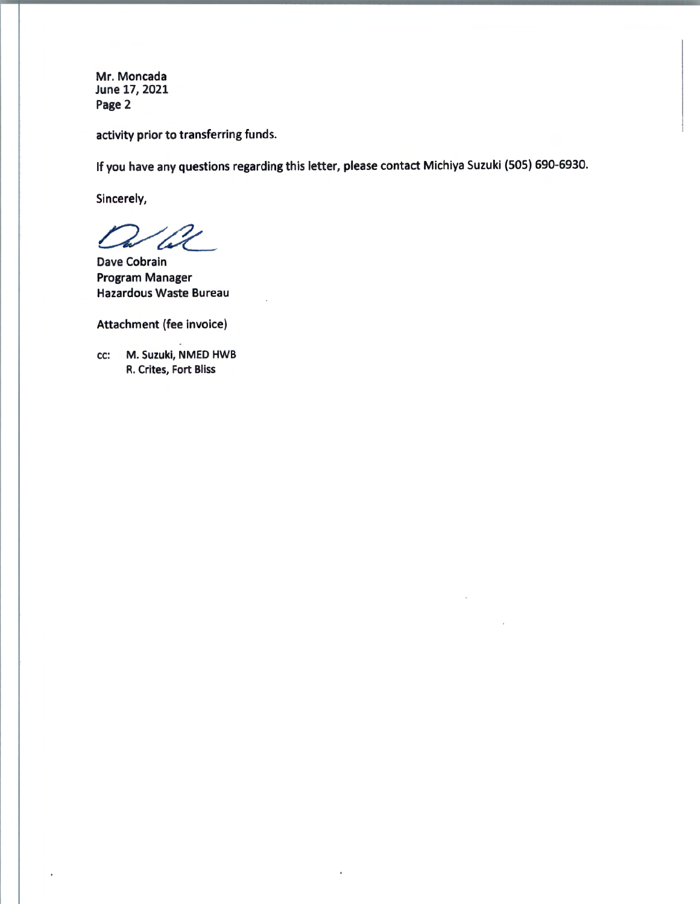Mr. Moncada June 17, 2021 Page 2

activity prior to transferring funds.

If you have any questions regarding this letter, please contact Michiya Suzuki (SOS) 690-6930.

Sincerely,

*0/Cc\_* 

Dave Cobrain Program Manager Hazardous Waste Bureau

Attachment (fee invoice)

cc: M. Suzuki, NMED HWB R. Crites, Fort Bliss